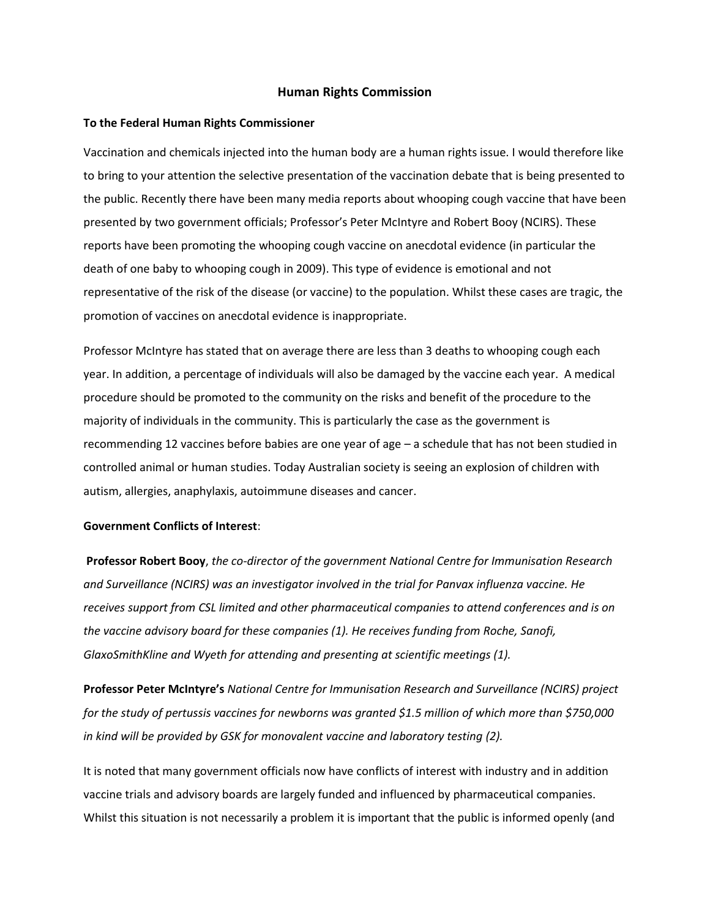## **Human Rights Commission**

#### **To the Federal Human Rights Commissioner**

Vaccination and chemicals injected into the human body are a human rights issue. I would therefore like to bring to your attention the selective presentation of the vaccination debate that is being presented to the public. Recently there have been many media reports about whooping cough vaccine that have been presented by two government officials; Professor's Peter McIntyre and Robert Booy (NCIRS). These reports have been promoting the whooping cough vaccine on anecdotal evidence (in particular the death of one baby to whooping cough in 2009). This type of evidence is emotional and not representative of the risk of the disease (or vaccine) to the population. Whilst these cases are tragic, the promotion of vaccines on anecdotal evidence is inappropriate.

Professor McIntyre has stated that on average there are less than 3 deaths to whooping cough each year. In addition, a percentage of individuals will also be damaged by the vaccine each year. A medical procedure should be promoted to the community on the risks and benefit of the procedure to the majority of individuals in the community. This is particularly the case as the government is recommending 12 vaccines before babies are one year of age – a schedule that has not been studied in controlled animal or human studies. Today Australian society is seeing an explosion of children with autism, allergies, anaphylaxis, autoimmune diseases and cancer.

# **Government Conflicts of Interest**:

**Professor Robert Booy**, *the co-director of the government National Centre for Immunisation Research and Surveillance (NCIRS) was an investigator involved in the trial for Panvax influenza vaccine. He receives support from CSL limited and other pharmaceutical companies to attend conferences and is on the vaccine advisory board for these companies (1). He receives funding from Roche, Sanofi, GlaxoSmithKline and Wyeth for attending and presenting at scientific meetings (1).* 

**Professor Peter McIntyre's** *National Centre for Immunisation Research and Surveillance (NCIRS) project for the study of pertussis vaccines for newborns was granted \$1.5 million of which more than \$750,000 in kind will be provided by GSK for monovalent vaccine and laboratory testing (2).* 

It is noted that many government officials now have conflicts of interest with industry and in addition vaccine trials and advisory boards are largely funded and influenced by pharmaceutical companies. Whilst this situation is not necessarily a problem it is important that the public is informed openly (and